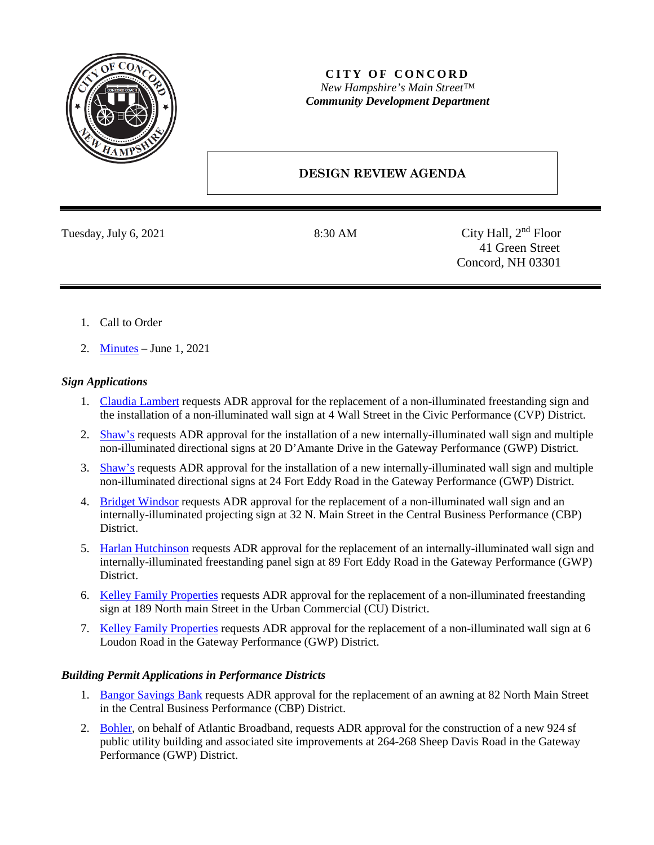

## **CITY OF CONCORD** *New Hampshire's Main Street™ Community Development Department*

# **DESIGN REVIEW AGENDA**

Tuesday, July 6, 2021 8:30 AM City Hall, 2<sup>nd</sup> Floor 41 Green Street Concord, NH 03301

- 1. Call to Order
- 2. [Minutes](https://www.concordnh.gov/Archive.aspx?ADID=5543) June 1, 2021

#### *Sign Applications*

- 1. [Claudia Lambert](https://www.concordnh.gov/DocumentCenter/View/17399/4-Wall-St---Claudias---2-signs-for-ADR) requests ADR approval for the replacement of a non-illuminated freestanding sign and the installation of a non-illuminated wall sign at 4 Wall Street in the Civic Performance (CVP) District.
- 2. [Shaw's](https://www.concordnh.gov/DocumentCenter/View/17402/20-DAmante-Drive---Shaws-DUG---1-building-sign-and-site-directional-signs-for-ADR) requests ADR approval for the installation of a new internally-illuminated wall sign and multiple non-illuminated directional signs at 20 D'Amante Drive in the Gateway Performance (GWP) District.
- 3. [Shaw's](https://www.concordnh.gov/DocumentCenter/View/17400/24-Fort-Eddy-Road---Shaws-DUG---1-building-sign-and-site-directional-signs-for-ADR) requests ADR approval for the installation of a new internally-illuminated wall sign and multiple non-illuminated directional signs at 24 Fort Eddy Road in the Gateway Performance (GWP) District.
- 4. [Bridget Windsor](https://www.concordnh.gov/DocumentCenter/View/17410/32-N-Main-St---Spruce-Home-and-Company---2-signs-for-ADR) requests ADR approval for the replacement of a non-illuminated wall sign and an internally-illuminated projecting sign at 32 N. Main Street in the Central Business Performance (CBP) District.
- 5. [Harlan Hutchinson](https://www.concordnh.gov/DocumentCenter/View/17412/89-Ft-Eddy-Rd----Lets-Play---2-signs-for-ADR) requests ADR approval for the replacement of an internally-illuminated wall sign and internally-illuminated freestanding panel sign at 89 Fort Eddy Road in the Gateway Performance (GWP) District.
- 6. [Kelley Family Properties](https://www.concordnh.gov/DocumentCenter/View/17431/189-N-Main-St----Kelley-Prop---1-sign-for-ADR) requests ADR approval for the replacement of a non-illuminated freestanding sign at 189 North main Street in the Urban Commercial (CU) District.
- 7. [Kelley Family Properties](https://www.concordnh.gov/DocumentCenter/View/17432/6-Loudon-Road----6-Loudon-Rd---1-sign-for-ADR) requests ADR approval for the replacement of a non-illuminated wall sign at 6 Loudon Road in the Gateway Performance (GWP) District.

## *Building Permit Applications in Performance Districts*

- 1. [Bangor Savings Bank](https://www.concordnh.gov/DocumentCenter/View/17401/3496-BANGOR-SAVINGS-BANK-CONCORD---CANOPY-ADR-APPLICATION-2021-06-18) requests ADR approval for the replacement of an awning at 82 North Main Street in the Central Business Performance (CBP) District.
- 2. [Bohler,](https://www.concordnh.gov/DocumentCenter/View/17442/Atlantic-Broadband) on behalf of Atlantic Broadband, requests ADR approval for the construction of a new 924 sf public utility building and associated site improvements at 264-268 Sheep Davis Road in the Gateway Performance (GWP) District.